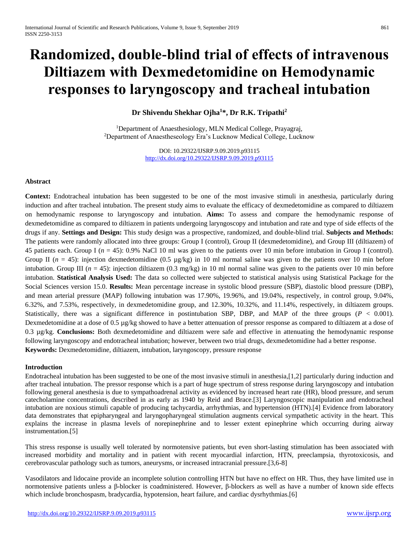# **Randomized, double-blind trial of effects of intravenous Diltiazem with Dexmedetomidine on Hemodynamic responses to laryngoscopy and tracheal intubation**

## **Dr Shivendu Shekhar Ojha<sup>1</sup>\*, Dr R.K. Tripathi<sup>2</sup>**

<sup>1</sup>Department of Anaesthesiology, MLN Medical College, Prayagraj, <sup>2</sup>Department of Anaestheseology Era's Lucknow Medical College, Lucknow

> DOI: 10.29322/IJSRP.9.09.2019.p93115 <http://dx.doi.org/10.29322/IJSRP.9.09.2019.p93115>

## **Abstract**

**Context:** Endotracheal intubation has been suggested to be one of the most invasive stimuli in anesthesia, particularly during induction and after tracheal intubation. The present study aims to evaluate the efficacy of dexmedetomidine as compared to diltiazem on hemodynamic response to laryngoscopy and intubation. **Aims:** To assess and compare the hemodynamic response of dexmedetomidine as compared to diltiazem in patients undergoing laryngoscopy and intubation and rate and type of side effects of the drugs if any. **Settings and Design:** This study design was a prospective, randomized, and double‑blind trial. **Subjects and Methods:** The patients were randomly allocated into three groups: Group I (control), Group II (dexmedetomidine), and Group III (diltiazem) of 45 patients each. Group I (*n* = 45): 0.9% NaCl 10 ml was given to the patients over 10 min before intubation in Group I (control). Group II  $(n = 45)$ : injection dexmedetomidine (0.5  $\mu$ g/kg) in 10 ml normal saline was given to the patients over 10 min before intubation. Group III ( $n = 45$ ): injection diltiazem (0.3 mg/kg) in 10 ml normal saline was given to the patients over 10 min before intubation. **Statistical Analysis Used:** The data so collected were subjected to statistical analysis using Statistical Package for the Social Sciences version 15.0. **Results:** Mean percentage increase in systolic blood pressure (SBP), diastolic blood pressure (DBP), and mean arterial pressure (MAP) following intubation was 17.90%, 19.96%, and 19.04%, respectively, in control group, 9.04%, 6.32%, and 7.53%, respectively, in dexmedetomidine group, and 12.30%, 10.32%, and 11.14%, respectively, in diltiazem groups. Statistically, there was a significant difference in postintubation SBP, DBP, and MAP of the three groups ( $P < 0.001$ ). Dexmedetomidine at a dose of 0.5 µg/kg showed to have a better attenuation of pressor response as compared to diltiazem at a dose of 0.3 µg/kg. **Conclusions:** Both dexmedetomidine and diltiazem were safe and effective in attenuating the hemodynamic response following laryngoscopy and endotracheal intubation; however, between two trial drugs, dexmedetomidine had a better response. **Keywords:** Dexmedetomidine, diltiazem, intubation, laryngoscopy, pressure response

## **Introduction**

Endotracheal intubation has been suggested to be one of the most invasive stimuli in anesthesia,[1,2] particularly during induction and after tracheal intubation. The pressor response which is a part of huge spectrum of stress response during laryngoscopy and intubation following general anesthesia is due to sympathoadrenal activity as evidenced by increased heart rate (HR), blood pressure, and serum catecholamine concentrations, described in as early as 1940 by Reid and Brace.[3] Laryngoscopic manipulation and endotracheal intubation are noxious stimuli capable of producing tachycardia, arrhythmias, and hypertension (HTN).[4] Evidence from laboratory data demonstrates that epipharyngeal and laryngopharyngeal stimulation augments cervical sympathetic activity in the heart. This explains the increase in plasma levels of norepinephrine and to lesser extent epinephrine which occurring during airway instrumentation.[5]

This stress response is usually well tolerated by normotensive patients, but even short-lasting stimulation has been associated with increased morbidity and mortality and in patient with recent myocardial infarction, HTN, preeclampsia, thyrotoxicosis, and cerebrovascular pathology such as tumors, aneurysms, or increased intracranial pressure.[3,6‑8]

Vasodilators and lidocaine provide an incomplete solution controlling HTN but have no effect on HR. Thus, they have limited use in normotensive patients unless a β-blocker is coadministered. However, β-blockers as well as have a number of known side effects which include bronchospasm, bradycardia, hypotension, heart failure, and cardiac dysrhythmias.[6]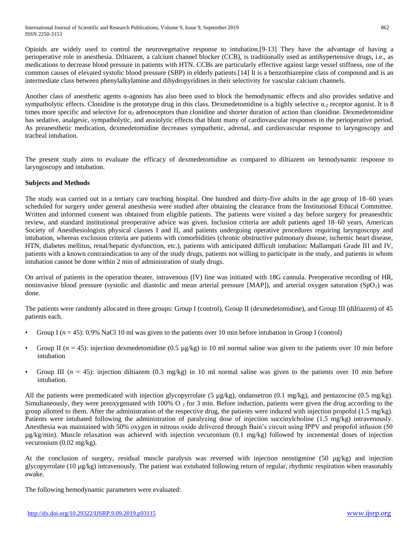International Journal of Scientific and Research Publications, Volume 9, Issue 9, September 2019 862 ISSN 2250-3153

Opioids are widely used to control the neurovegetative response to intubation.[9‑13] They have the advantage of having a perioperative role in anesthesia. Diltiazem, a calcium channel blocker (CCB), is traditionally used as antihypertensive drugs, i.e., as medications to decrease blood pressure in patients with HTN. CCBs are particularly effective against large vessel stiffness, one of the common causes of elevated systolic blood pressure (SBP) in elderly patients.[14] It is a benzothiazepine class of compound and is an intermediate class between phenylalkylamine and dihydropyridines in their selectivity for vascular calcium channels.

Another class of anesthetic agents α‑agonists has also been used to block the hemodynamic effects and also provides sedative and sympatholytic effects. Clonidine is the prototype drug in this class. Dexmedetomidine is a highly selective  $\alpha_2$  receptor agonist. It is 8 times more specific and selective for  $\alpha_2$  adrenoceptors than clonidine and shorter duration of action than clonidine. Dexmedetomidine has sedative, analgesic, sympatholytic, and anxiolytic effects that blunt many of cardiovascular responses in the perioperative period. As preanesthetic medication, dexmedetomidine decreases sympathetic, adrenal, and cardiovascular response to laryngoscopy and tracheal intubation.

The present study aims to evaluate the efficacy of dexmedetomidine as compared to diltiazem on hemodynamic response to laryngoscopy and intubation.

## **Subjects and Methods**

The study was carried out in a tertiary care teaching hospital. One hundred and thirty-five adults in the age group of 18–60 years scheduled for surgery under general anesthesia were studied after obtaining the clearance from the Institutional Ethical Committee. Written and informed consent was obtained from eligible patients. The patients were visited a day before surgery for preanesthtic review, and standard institutional preoperative advice was given. Inclusion criteria are adult patients aged 18–60 years, American Society of Anesthesiologists physical classes I and II, and patients undergoing operative procedures requiring laryngoscopy and intubation, whereas exclusion criteria are patients with comorbidities (chronic obstructive pulmonary disease, ischemic heart disease, HTN, diabetes mellitus, renal/hepatic dysfunction, etc.), patients with anticipated difficult intubation: Mallampati Grade III and IV, patients with a known contraindication to any of the study drugs, patients not willing to participate in the study, and patients in whom intubation cannot be done within 2 min of administration of study drugs.

On arrival of patients in the operation theater, intravenous (IV) line was initiated with 18G cannula. Preoperative recording of HR, noninvasive blood pressure (systolic and diastolic and mean arterial pressure [MAP]), and arterial oxygen saturation (SpO<sub>2</sub>) was done.

The patients were randomly allocated in three groups: Group I (control), Group II (dexmedetomidine), and Group III (diltiazem) of 45 patients each.

- Group I (*n* = 45): 0.9% NaCl 10 ml was given to the patients over 10 min before intubation in Group I (control)
- Group II ( $n = 45$ ): injection dexmedetomidine (0.5  $\mu$ g/kg) in 10 ml normal saline was given to the patients over 10 min before intubation
- Group III  $(n = 45)$ : injection diltiazem  $(0.3 \text{ mg/kg})$  in 10 ml normal saline was given to the patients over 10 min before intubation.

All the patients were premedicated with injection glycopyrrolate (5 µg/kg), ondansetron (0.1 mg/kg), and pentazocine (0.5 mg/kg). Simultaneously, they were preoxygenated with 100% O  $_2$  for 3 min. Before induction, patients were given the drug according to the group allotted to them. After the administration of the respective drug, the patients were induced with injection propofol (1.5 mg/kg). Patients were intubated following the administration of paralyzing dose of injection succinylcholine (1.5 mg/kg) intravenously. Anesthesia was maintained with 50% oxygen in nitrous oxide delivered through Bain's circuit using IPPV and propofol infusion (50 µg/kg/min). Muscle relaxation was achieved with injection vecuronium (0.1 mg/kg) followed by incremental doses of injection vecuronium (0.02 mg/kg).

At the conclusion of surgery, residual muscle paralysis was reversed with injection neostigmine (50 µg/kg) and injection glycopyrrolate (10 µg/kg) intravenously. The patient was extubated following return of regular, rhythmic respiration when reasonably awake.

The following hemodynamic parameters were evaluated: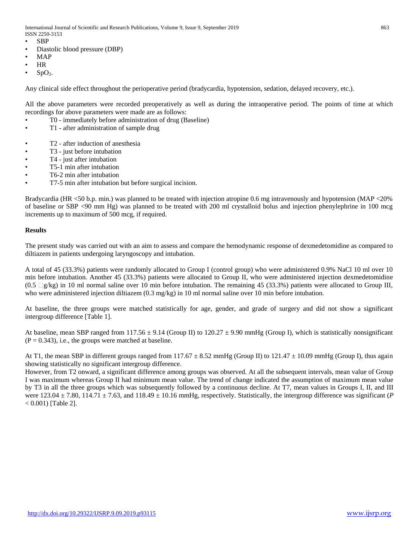International Journal of Scientific and Research Publications, Volume 9, Issue 9, September 2019 863 ISSN 2250-3153

- SBP
- Diastolic blood pressure (DBP)
- MAP
- HR
- $SpO<sub>2</sub>$ .

Any clinical side effect throughout the perioperative period (bradycardia, hypotension, sedation, delayed recovery, etc.).

All the above parameters were recorded preoperatively as well as during the intraoperative period. The points of time at which recordings for above parameters were made are as follows:

- T0 ‑ immediately before administration of drug (Baseline)
- T1 after administration of sample drug
- T2 ‑ after induction of anesthesia
- T<sub>3</sub> just before intubation
- T4 just after intubation
- T5‑1 min after intubation
- T6‑2 min after intubation
- T7‑5 min after intubation but before surgical incision.

Bradycardia (HR <50 b.p. min.) was planned to be treated with injection atropine 0.6 mg intravenously and hypotension (MAP <20% of baseline or SBP <90 mm Hg) was planned to be treated with 200 ml crystalloid bolus and injection phenylephrine in 100 mcg increments up to maximum of 500 mcg, if required.

## **Results**

The present study was carried out with an aim to assess and compare the hemodynamic response of dexmedetomidine as compared to diltiazem in patients undergoing laryngoscopy and intubation.

A total of 45 (33.3%) patients were randomly allocated to Group I (control group) who were administered 0.9% NaCl 10 ml over 10 min before intubation. Another 45 (33.3%) patients were allocated to Group II, who were administered injection dexmedetomidine  $(0.5 \Box g/kg)$  in 10 ml normal saline over 10 min before intubation. The remaining 45 (33.3%) patients were allocated to Group III, who were administered injection diltiazem (0.3 mg/kg) in 10 ml normal saline over 10 min before intubation.

At baseline, the three groups were matched statistically for age, gender, and grade of surgery and did not show a significant intergroup difference [Table 1].

At baseline, mean SBP ranged from 117.56  $\pm$  9.14 (Group II) to 120.27  $\pm$  9.90 mmHg (Group I), which is statistically nonsignificant  $(P = 0.343)$ , i.e., the groups were matched at baseline.

At T1, the mean SBP in different groups ranged from  $117.67 \pm 8.52$  mmHg (Group II) to  $121.47 \pm 10.09$  mmHg (Group I), thus again showing statistically no significant intergroup difference.

However, from T2 onward, a significant difference among groups was observed. At all the subsequent intervals, mean value of Group I was maximum whereas Group II had minimum mean value. The trend of change indicated the assumption of maximum mean value by T3 in all the three groups which was subsequently followed by a continuous decline. At T7, mean values in Groups I, II, and III were  $123.04 \pm 7.80$ ,  $114.71 \pm 7.63$ , and  $118.49 \pm 10.16$  mmHg, respectively. Statistically, the intergroup difference was significant (*P* < 0.001) [Table 2].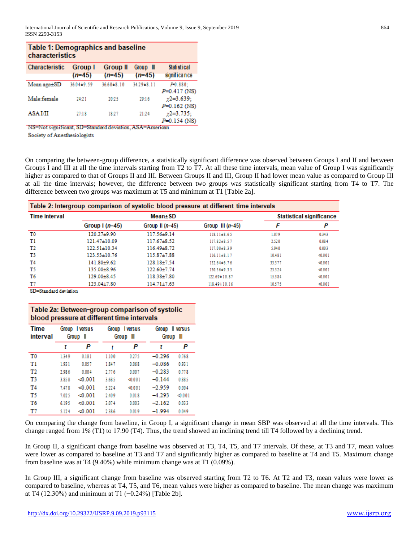| Table 1: Demographics and baseline<br>characteristics |                     |                      |                       |                                    |  |  |  |  |  |
|-------------------------------------------------------|---------------------|----------------------|-----------------------|------------------------------------|--|--|--|--|--|
| Characteristic                                        | Group I<br>$(n=45)$ | Group II<br>$(n=45)$ | Group III<br>$(n=45)$ | <b>Statistical</b><br>significance |  |  |  |  |  |
| Mean age±SD                                           | 36.04±9.59          | 36.60±8.10           | 34.29±8.11            | $F = 0.880$ :<br>$P = 0.417$ (NS)  |  |  |  |  |  |
| Male:female                                           | 24:21               | 20:25                | 29:16                 | $x^2=3.639$ ;<br>$P=0.162$ (NS)    |  |  |  |  |  |
| ASA I/II                                              | 27:18               | 18:27                | 21:24                 | $x^2$ =3.735;<br>P=0.154 (NS)      |  |  |  |  |  |

NS=Not significant, SD=Standard deviation, ASA=American Society of Anesthesiologists

On comparing the between‑group difference, a statistically significant difference was observed between Groups I and II and between Groups I and III at all the time intervals starting from T2 to T7. At all these time intervals, mean value of Group I was significantly higher as compared to that of Groups II and III. Between Groups II and III, Group II had lower mean value as compared to Group III at all the time intervals; however, the difference between two groups was statistically significant starting from T4 to T7. The difference between two groups was maximum at T5 and minimum at T1 [Table 2a].

| Table 2: Intergroup comparison of systolic blood pressure at different time intervals |                   |                   |                    |        |          |  |  |  |  |
|---------------------------------------------------------------------------------------|-------------------|-------------------|--------------------|--------|----------|--|--|--|--|
| <b>Time interval</b>                                                                  |                   | Mean±SD           |                    |        |          |  |  |  |  |
|                                                                                       | Group $1(n=45)$   | Group II $(n=45)$ | Group III $(n=45)$ | F      | Ρ        |  |  |  |  |
| T <sub>0</sub>                                                                        | 120.27±9.90       | 117.56±9.14       | $118.11 \pm 8.65$  | 1.079  | 0.343    |  |  |  |  |
| T1                                                                                    | $121.47\pm10.09$  | $117.67 \pm 8.52$ | $117.82 + 8.57$    | 2.520  | 0.084    |  |  |  |  |
| T2                                                                                    | $122.51 + 10.34$  | $116.49 \pm 8.72$ | 117.00+8.39        | 5.940  | 0.003    |  |  |  |  |
| T3                                                                                    | 123.53±10.76      | $115.87 + 7.88$   | $116.11 + 8.17$    | 10.481 | $-0.001$ |  |  |  |  |
| T4                                                                                    | $141.80 + 9.62$   | $128.18 + 7.54$   | 132.64±6.76        | 33.377 | $-0.001$ |  |  |  |  |
| T5                                                                                    | 135.00+8.96       | $122.60 + 7.74$   | 130.36±9.33        | 23.324 | $-0.001$ |  |  |  |  |
| T6                                                                                    | 129.00±8.45       | 118.38±7.80       | 122.69 ± 10.87     | 15.384 | $-0.001$ |  |  |  |  |
| T7                                                                                    | $123.04 \pm 7.80$ | $114.71 \pm 7.63$ | 118.49±10.16       | 10.575 | $-0.001$ |  |  |  |  |
| <b>AND ALL REPORTS AND ARRAIGNMENT COMPANY</b>                                        |                   |                   |                    |        |          |  |  |  |  |

SD=Standard deviation

## Table 2a: Between-group comparison of systolic blood pressure at different time intervals

| Time<br>interval | Group I versus<br>Group<br>Ш |         | Group | Group I versus<br>- III | Group II versus<br>- III<br><b>Group</b> |          |  |
|------------------|------------------------------|---------|-------|-------------------------|------------------------------------------|----------|--|
|                  | t                            | Ρ       | t     | Ρ                       | t                                        | Ρ        |  |
| T <sub>0</sub>   | 1.349                        | 0.181   | 1.100 | 0.275                   | $-0.296$                                 | 0.768    |  |
| T1               | 1.931                        | 0.057   | 1.847 | 0.068                   | $-0.086$                                 | 0.931    |  |
| T2               | 2.986                        | 0.004   | 2.776 | 0.007                   | $-0.283$                                 | 0.778    |  |
| T3               | 3.858                        | < 0.001 | 3.685 | $-0.001$                | $-0.144$                                 | 0.885    |  |
| T <sub>4</sub>   | 7.478                        | < 0.001 | 5.224 | $-0.001$                | $-2.959$                                 | 0.004    |  |
| T5               | 7.025                        | < 0.001 | 2.409 | 0.018                   | $-4.293$                                 | $-0.001$ |  |
| T6               | 6.195                        | < 0.001 | 3.074 | 0.003                   | $-2.162$                                 | 0.033    |  |
| T7               | 5.124                        | < 0.001 | 2.386 | 0.019                   | $-1.994$                                 | 0.049    |  |

On comparing the change from baseline, in Group I, a significant change in mean SBP was observed at all the time intervals. This change ranged from 1% (T1) to 17.90 (T4). Thus, the trend showed an inclining trend till T4 followed by a declining trend.

In Group II, a significant change from baseline was observed at T3, T4, T5, and T7 intervals. Of these, at T3 and T7, mean values were lower as compared to baseline at T3 and T7 and significantly higher as compared to baseline at T4 and T5. Maximum change from baseline was at T4 (9.40%) while minimum change was at T1 (0.09%).

In Group III, a significant change from baseline was observed starting from T2 to T6. At T2 and T3, mean values were lower as compared to baseline, whereas at T4, T5, and T6, mean values were higher as compared to baseline. The mean change was maximum at T4 (12.30%) and minimum at T1 (−0.24%) [Table 2b].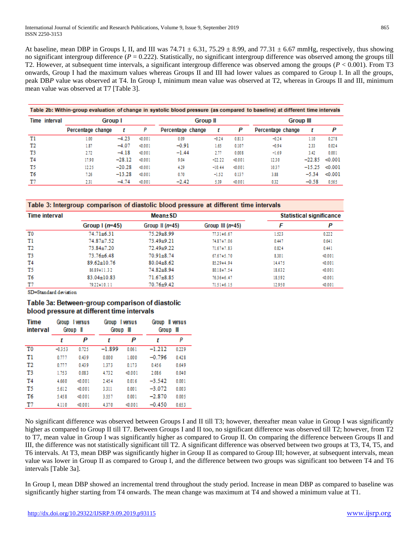At baseline, mean DBP in Groups I, II, and III was  $74.71 \pm 6.31$ ,  $75.29 \pm 8.99$ , and  $77.31 \pm 6.67$  mmHg, respectively, thus showing no significant intergroup difference  $(P = 0.222)$ . Statistically, no significant intergroup difference was observed among the groups till T2. However, at subsequent time intervals, a significant intergroup difference was observed among the groups (*P* < 0.001). From T3 onwards, Group I had the maximum values whereas Groups II and III had lower values as compared to Group I. In all the groups, peak DB*P* value was observed at T4. In Group I, minimum mean value was observed at T2, whereas in Groups II and III, minimum mean value was observed at T7 [Table 3].

| Table 2b: Within-group evaluation of change in systolic blood pressure (as compared to baseline) at different time intervals |                   |          |          |                   |          |          |                   |           |          |  |
|------------------------------------------------------------------------------------------------------------------------------|-------------------|----------|----------|-------------------|----------|----------|-------------------|-----------|----------|--|
| Time interval                                                                                                                | Group I           |          |          | Group II          |          |          |                   | Group III |          |  |
|                                                                                                                              | Percentage change |          | Ρ        | Percentage change |          | Ρ        | Percentage change |           | Ρ        |  |
| T1                                                                                                                           | 1.00              | $-4.23$  | $-0.001$ | 0.09              | $-0.24$  | 0.813    | $-0.24$           | 1.10      | 0.278    |  |
| T2                                                                                                                           | 1.87              | $-4.07$  | $-0.001$ | $-0.91$           | 1.65     | 0.107    | $-0.94$           | 2.33      | 0.024    |  |
| T3                                                                                                                           | 2.72              | $-4.18$  | $-0.001$ | $-1.44$           | 2.77     | 0.008    | $-1.69$           | 3.42      | 0.001    |  |
| T4                                                                                                                           | 17.90             | $-28.12$ | $-0.001$ | 9.04              | $-22.22$ | $-0.001$ | 12.30             | $-22.85$  | $-0.001$ |  |
| T5                                                                                                                           | 12.25             | $-20.28$ | $-0.001$ | 4.29              | $-10.44$ | $-0.001$ | 10.37             | $-15.25$  | < 0.001  |  |
| T6                                                                                                                           | 7.26              | $-13.28$ | $-0.001$ | 0.70              | $-1.52$  | 0.137    | 3.88              | $-5.34$   | < 0.001  |  |
| T7                                                                                                                           | 2.31              | $-4.74$  | $-0.001$ | $-2.42$           | 5.39     | $-0.001$ | 0.32              | $-0.58$   | 0.565    |  |

| Time interval |                   | Mean±SD           |                    | <b>Statistical significance</b> |          |  |  |
|---------------|-------------------|-------------------|--------------------|---------------------------------|----------|--|--|
|               | Group $(n=45)$    | Group II $(n=45)$ | Group III $(n=45)$ | F                               | P        |  |  |
| T0            | $74.71 + 6.31$    | 75.29±8.99        | $77.31 \pm 6.67$   | 1.523                           | 0.222    |  |  |
| T1            | 74.87±7.52        | 73.49±9.21        | 74.87±7.06         | 0.447                           | 0.641    |  |  |
| T2            | 73.84±7.20        | 72.49±9.22        | 71.67±7.83         | 0.824                           | 0.441    |  |  |
| T3            | $73.76 \pm 6.48$  | $70.91 + 8.74$    | 67.6745.70         | 8.301                           | $-0.001$ |  |  |
| T4            | $89.62 \pm 10.76$ | $80.04 \pm 8.62$  | 85.29±4.94         | 14.475                          | $-0.001$ |  |  |
| T5            | 86.89±11.32       | $74.82 \pm 8.94$  | $80.18 + 7.54$     | 18.632                          | $-0.001$ |  |  |
| T6            | $83.04 \pm 10.83$ | $71.67 \pm 8.85$  | 76.36±6.47         | 18.592                          | $-0.001$ |  |  |
| T7            | 79.22±10.11       | 70.76±9.42        | $71.51 \pm 6.15$   | 12.950                          | $-0.001$ |  |  |

SD=Standard deviation

## Table 3a: Between-group comparison of diastolic blood pressure at different time intervals

| Time<br>interval | Group I versus<br><b>Group</b><br>- II |          | Group I versus<br><b>Group</b> | Ш        | Group II versus<br><b>Group</b><br>ш |       |  |
|------------------|----------------------------------------|----------|--------------------------------|----------|--------------------------------------|-------|--|
|                  | t                                      | Ρ        | t                              | Ρ        | t                                    | Ρ     |  |
| T0               | $-0.353$                               | 0.725    | $-1.899$                       | 0.061    | $-1.212$                             | 0.229 |  |
| T1               | 0.777                                  | 0.439    | 0.000                          | 1.000    | $-0.796$                             | 0.428 |  |
| T2               | 0.777                                  | 0.439    | 1.373                          | 0.173    | 0.456                                | 0.649 |  |
| T3               | 1.753                                  | 0.083    | 4.732                          | $-0.001$ | 2.086                                | 0.040 |  |
| T <sub>4</sub>   | 4.660                                  | $-0.001$ | 2.454                          | 0.016    | $-3.542$                             | 0.001 |  |
| T5               | 5.612                                  | $-0.001$ | 3.311                          | 0.001    | $-3.072$                             | 0.003 |  |
| T6               | 5.458                                  | $-0.001$ | 3.557                          | 0.001    | $-2.870$                             | 0.005 |  |
| T7               | 4.110                                  | $-0.001$ | 4.370                          | $-0.001$ | $-0.450$                             | 0.653 |  |

No significant difference was observed between Groups I and II till T3; however, thereafter mean value in Group I was significantly higher as compared to Group II till T7. Between Groups I and II too, no significant difference was observed till T2; however, from T2 to T7, mean value in Group I was significantly higher as compared to Group II. On comparing the difference between Groups II and III, the difference was not statistically significant till T2. A significant difference was observed between two groups at T3, T4, T5, and T6 intervals. At T3, mean DBP was significantly higher in Group II as compared to Group III; however, at subsequent intervals, mean value was lower in Group II as compared to Group I, and the difference between two groups was significant too between T4 and T6 intervals [Table 3a].

In Group I, mean DBP showed an incremental trend throughout the study period. Increase in mean DBP as compared to baseline was significantly higher starting from T4 onwards. The mean change was maximum at T4 and showed a minimum value at T1.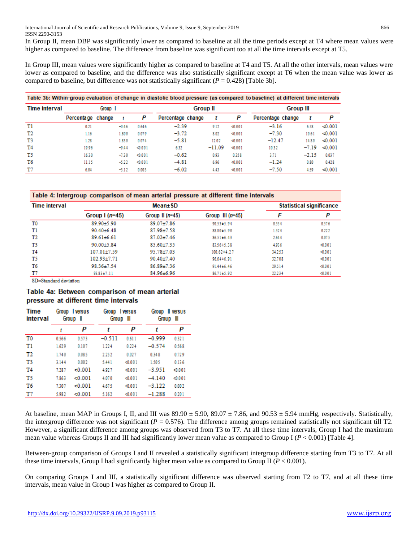International Journal of Scientific and Research Publications, Volume 9, Issue 9, September 2019 866 ISSN 2250-3153

In Group II, mean DBP was significantly lower as compared to baseline at all the time periods except at T4 where mean values were higher as compared to baseline. The difference from baseline was significant too at all the time intervals except at T5.

In Group III, mean values were significantly higher as compared to baseline at T4 and T5. At all the other intervals, mean values were lower as compared to baseline, and the difference was also statistically significant except at T6 when the mean value was lower as compared to baseline, but difference was not statistically significant  $(P = 0.428)$  [Table 3b].

| Table 3b: Within-group evaluation of change in diastolic blood pressure (as compared to baseline) at different time intervals |                   |  |         |          |                   |          |          |                   |                  |          |  |
|-------------------------------------------------------------------------------------------------------------------------------|-------------------|--|---------|----------|-------------------|----------|----------|-------------------|------------------|----------|--|
| Time interval                                                                                                                 | Group 1           |  |         |          |                   | Group II |          |                   | <b>Group III</b> |          |  |
|                                                                                                                               | Percentage change |  |         | Ρ        | Percentage change |          | P        | Percentage change | ı                | Ρ        |  |
| T1                                                                                                                            | 0.21              |  | $-0.46$ | 0.646    | $-2.39$           | 9.12     | $-0.001$ | $-3.16$           | 6.58             | < 0.001  |  |
| T2                                                                                                                            | 1.16              |  | 1.800   | 0.079    | $-3.72$           | 8.02     | $-0.001$ | $-7.30$           | 10.61            | $-0.001$ |  |
| T3                                                                                                                            | 1.28              |  | 1.830   | 0.074    | $-5.81$           | 12.02    | $-0.001$ | $-12.47$          | 14.80            | $-0.001$ |  |
| T4                                                                                                                            | 19.96             |  | $-9.44$ | $-0.001$ | 6.32              | $-11.09$ | $-0.001$ | 10.32             | $-7.19$          | $-0.001$ |  |
| T5                                                                                                                            | 16.30             |  | $-7.30$ | $-0.001$ | $-0.62$           | 0.93     | 0.358    | 3.71              | $-2.15$          | 0.037    |  |
| T6                                                                                                                            | 11.15             |  | $-5.22$ | $-0.001$ | $-4.81$           | 6.96     | $-0.001$ | $-1.24$           | 0.80             | 0.428    |  |
| T7                                                                                                                            | 6.04              |  | $-3.12$ | 0.003    | $-6.02$           | 4.43     | $-0.001$ | $-7.50$           | 4.59             | $-0.001$ |  |

#### Table 4: Intergroup comparison of mean arterial pressure at different time intervals

| Time interval  |                   | Mean±SD           |                    |        |          |  |  |
|----------------|-------------------|-------------------|--------------------|--------|----------|--|--|
|                | Group $(n=45)$    | Group II $(n=45)$ | Group III $(n=45)$ | F      | Ρ        |  |  |
| T0             | 89.90±5.90        | $89.07 \pm 7.86$  | 90.53±5.94         | 0.554  | 0.576    |  |  |
| T1             | $90.40 \pm 6.48$  | $87.98 + 7.58$    | 88.80+5.90         | 1.524  | 0.222    |  |  |
| T2             | $89.61 \pm 6.61$  | $87.02 \pm 7.46$  | 86.51±6.43         | 2.644  | 0.075    |  |  |
| T3             | $90.00 + 5.84$    | $85.60 + 7.35$    | 83.5645.38         | 4.936  | $-0.001$ |  |  |
| T4             | $107.01 + 7.59$   | 95.78±7.03        | 100.62±4.27        | 34.253 | $-0.001$ |  |  |
| T5             | $102.93 \pm 7.71$ | $90.40 \pm 7.40$  | 96.64±6.91         | 32.708 | $-0.001$ |  |  |
| T <sub>6</sub> | 98.36±7.54        | $86.89 + 7.36$    | $91.44 \pm 6.46$   | 29.514 | $-0.001$ |  |  |
| T7             | 93.83±7.11        | $84.96 \pm 6.96$  | 86.71±5.92         | 22.234 | $-0.001$ |  |  |

SD=Standard deviation

## Table 4a: Between comparison of mean arterial pressure at different time intervals

| Time<br>interval | Group I versus<br><b>Group</b><br>H |         | Group I versus<br><b>Group</b> | <b>III</b> | Group<br>Il versus<br><b>Group</b><br><b>III</b> |          |  |
|------------------|-------------------------------------|---------|--------------------------------|------------|--------------------------------------------------|----------|--|
|                  | t                                   | Ρ       | t                              | Ρ          | t                                                | Ρ        |  |
| T0               | 0.566                               | 0.573   | $-0.511$                       | 0.611      | $-0.999$                                         | 0.321    |  |
| T1               | 1.629                               | 0.107   | 1.224                          | 0.224      | $-0.574$                                         | 0.568    |  |
| T2               | 1.740                               | 0.085   | 2.252                          | 0.027      | 0.348                                            | 0.729    |  |
| T3               | 3.144                               | 0.002   | 5.441                          | $-0.001$   | 1.505                                            | 0.136    |  |
| T4               | 7.287                               | < 0.001 | 4.927                          | $-0.001$   | $-3.951$                                         | $-0.001$ |  |
| T5               | 7.863                               | < 0.001 | 4.070                          | $-0.001$   | $-4.140$                                         | $-0.001$ |  |
| T6               | 7.307                               | < 0.001 | 4.675                          | $-0.001$   | $-3.122$                                         | 0.002    |  |
| T7               | 5.982                               | < 0.001 | 5.162                          | $-0.001$   | $-1.288$                                         | 0.201    |  |

At baseline, mean MAP in Groups I, II, and III was  $89.90 \pm 5.90$ ,  $89.07 \pm 7.86$ , and  $90.53 \pm 5.94$  mmHg, respectively. Statistically, the intergroup difference was not significant ( $P = 0.576$ ). The difference among groups remained statistically not significant till T2. However, a significant difference among groups was observed from T3 to T7. At all these time intervals, Group I had the maximum mean value whereas Groups II and III had significantly lower mean value as compared to Group I ( $P < 0.001$ ) [Table 4].

Between-group comparison of Groups I and II revealed a statistically significant intergroup difference starting from T3 to T7. At all these time intervals, Group I had significantly higher mean value as compared to Group II ( $P < 0.001$ ).

On comparing Groups I and III, a statistically significant difference was observed starting from T2 to T7, and at all these time intervals, mean value in Group I was higher as compared to Group II.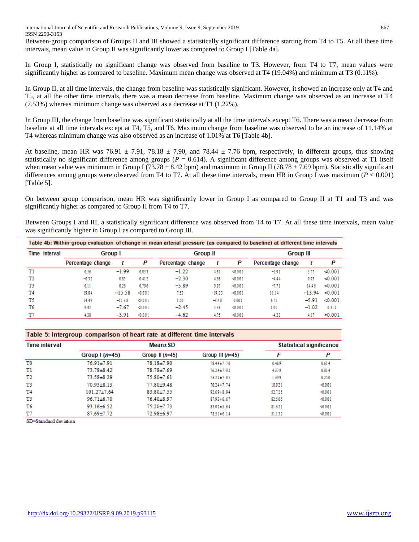International Journal of Scientific and Research Publications, Volume 9, Issue 9, September 2019 867 ISSN 2250-3153

Between-group comparison of Groups II and III showed a statistically significant difference starting from T4 to T5. At all these time intervals, mean value in Group II was significantly lower as compared to Group I [Table 4a].

In Group I, statistically no significant change was observed from baseline to T3. However, from T4 to T7, mean values were significantly higher as compared to baseline. Maximum mean change was observed at T4 (19.04%) and minimum at T3 (0.11%).

In Group II, at all time intervals, the change from baseline was statistically significant. However, it showed an increase only at T4 and T5, at all the other time intervals, there was a mean decrease from baseline. Maximum change was observed as an increase at T4 (7.53%) whereas minimum change was observed as a decrease at T1 (1.22%).

In Group III, the change from baseline was significant statistically at all the time intervals except T6. There was a mean decrease from baseline at all time intervals except at T4, T5, and T6. Maximum change from baseline was observed to be an increase of 11.14% at T4 whereas minimum change was also observed as an increase of 1.01% at T6 [Table 4b].

At baseline, mean HR was  $76.91 \pm 7.91$ ,  $78.18 \pm 7.90$ , and  $78.44 \pm 7.76$  bpm, respectively, in different groups, thus showing statistically no significant difference among groups ( $P = 0.614$ ). A significant difference among groups was observed at T1 itself when mean value was minimum in Group I (73.78  $\pm$  8.42 bpm) and maximum in Group II (78.78  $\pm$  7.69 bpm). Statistically significant differences among groups were observed from T4 to T7. At all these time intervals, mean HR in Group I was maximum (*P* < 0.001) [Table 5].

On between group comparison, mean HR was significantly lower in Group I as compared to Group II at T1 and T3 and was significantly higher as compared to Group II from T4 to T7.

Between Groups I and III, a statistically significant difference was observed from T4 to T7. At all these time intervals, mean value was significantly higher in Group I as compared to Group III.

|               | Table 4b: Within-group evaluation of change in mean arterial pressure (as compared to baseline) at different time intervals |          |          |                   |          |          |                   |          |          |  |  |
|---------------|-----------------------------------------------------------------------------------------------------------------------------|----------|----------|-------------------|----------|----------|-------------------|----------|----------|--|--|
| Time interval | Group I                                                                                                                     |          |          | Group II          |          |          | <b>Group III</b>  |          |          |  |  |
|               | Percentage change                                                                                                           | τ        | Ρ        | Percentage change |          | Ρ        | Percentage change |          | P        |  |  |
| T1            | 0.56                                                                                                                        | $-1.99$  | 0.053    | $-1.22$           | 4.81     | $-0.001$ | $-1.91$           | 5.77     | $-0.001$ |  |  |
| T2            | $-0.32$                                                                                                                     | 0.83     | 0.412    | $-2.30$           | 4.68     | $-0.001$ | $-4.44$           | 9.93     | $-0.001$ |  |  |
| T3            | 0.11                                                                                                                        | 0.26     | 0.796    | $-3.89$           | 9.93     | $-0.001$ | $-7.71$           | 14.46    | < 0.001  |  |  |
| T4            | 19.04                                                                                                                       | $-15.58$ | $-0.001$ | 7.53              | $-19.23$ | $-0.001$ | 11.14             | $-13.94$ | $-0.001$ |  |  |
| T5            | 14.49                                                                                                                       | $-11.38$ | $-0.001$ | 1.50              | $-3.48$  | 0.001    | 6.75              | $-5.91$  | $-0.001$ |  |  |
| T6            | 9.42                                                                                                                        | $-7.67$  | $-0.001$ | $-2.45$           | 5.38     | $-0.001$ | 1.01              | $-1.02$  | 0.312    |  |  |
| T7            | 4.38                                                                                                                        | $-3.91$  | $-0.001$ | $-4.62$           | 4.75     | $-0.001$ | $-4.22$           | 4.17     | $-0.001$ |  |  |

| Table 5: Intergroup comparison of heart rate at different time intervals |                  |                   |                    |                                 |          |  |  |  |  |  |
|--------------------------------------------------------------------------|------------------|-------------------|--------------------|---------------------------------|----------|--|--|--|--|--|
| <b>Time interval</b>                                                     |                  | Mean±SD           |                    | <b>Statistical significance</b> |          |  |  |  |  |  |
|                                                                          | Group $(n=45)$   | Group II $(n=45)$ | Group III $(n=45)$ | F                               | Ρ        |  |  |  |  |  |
| T0                                                                       | 76.91±7.91       | 78.18±7.90        | 78.44±7.76         | 0.489                           | 0.614    |  |  |  |  |  |
| T1                                                                       | $73.78 + 8.42$   | 78.78±7.69        | 76.24±7.92         | 4.379                           | 0.014    |  |  |  |  |  |
| T2                                                                       | $73.58 + 8.29$   | $75.80 + 7.61$    | $73.22 \pm 7.85$   | 1.399                           | 0.250    |  |  |  |  |  |
| T3                                                                       | $70.93 \pm 8.13$ | 77.80±9.48        | 70.24±7.74         | 10.921                          | $-0.001$ |  |  |  |  |  |
| T4                                                                       | $101.27 + 7.64$  | 83.80±7.55        | $92.69 + 8.94$     | 52.725                          | $-0.001$ |  |  |  |  |  |
| T5                                                                       | $96.71 \pm 6.70$ | 76.40±8.97        | 87.93±6.67         | 82.505                          | $-0.001$ |  |  |  |  |  |
| T6                                                                       | $93.16 \pm 6.52$ | 75.20±7.73        | $83.02 + 5.64$     | 81.621                          | $-0.001$ |  |  |  |  |  |
| T7                                                                       | $87.69 \pm 7.72$ | 72.98±6.97        | 78.51 ± 6.14       | 51.132                          | $-0.001$ |  |  |  |  |  |

SD=Standard deviation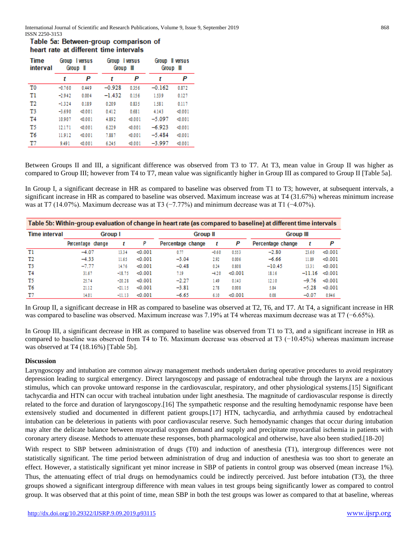Table 5a: Between-group comparison of heart rate at different time intervals

| Time<br>interval |          | Group I versus<br>Group II | Group I versus<br>Group | H        | Group II versus<br>Group<br>- III |          |  |
|------------------|----------|----------------------------|-------------------------|----------|-----------------------------------|----------|--|
|                  | t        | Ρ                          | t                       | Ρ        | t                                 | Ρ        |  |
| T <sub>0</sub>   | $-0.760$ | 0.449                      | $-0.928$                | 0.356    | $-0.162$                          | 0.872    |  |
| T1               | $-2.942$ | 0.004                      | $-1.432$                | 0.156    | 1.539                             | 0.127    |  |
| T2               | $-1324$  | 0.189                      | 0.209                   | 0.835    | 1.581                             | 0.117    |  |
| T3               | $-3.690$ | $-0.001$                   | 0.412                   | 0.681    | 4.143                             | $-0.001$ |  |
| T4               | 10.907   | $-0.001$                   | 4.892                   | $-0.001$ | $-5.097$                          | $-0.001$ |  |
| T5               | 12.171   | $-0.001$                   | 6.229                   | $-0.001$ | $-6.923$                          | $-0.001$ |  |
| T <sub>6</sub>   | 11.912   | $-0.001$                   | 7.887                   | $-0.001$ | $-5.484$                          | $-0.001$ |  |
| T7               | 9.491    | $-0.001$                   | 6.245                   | $-0.001$ | $-3.997$                          | $-0.001$ |  |

Between Groups II and III, a significant difference was observed from T3 to T7. At T3, mean value in Group II was higher as compared to Group III; however from T4 to T7, mean value was significantly higher in Group III as compared to Group II [Table 5a].

In Group I, a significant decrease in HR as compared to baseline was observed from T1 to T3; however, at subsequent intervals, a significant increase in HR as compared to baseline was observed. Maximum increase was at T4 (31.67%) whereas minimum increase was at T7 (14.07%). Maximum decrease was at T3 (−7.77%) and minimum decrease was at T1 (−4.07%).

| Table 5b: Within-group evaluation of change in heart rate (as compared to baseline) at different time intervals |                   |          |          |                   |         |          |                   |          |          |  |  |  |  |
|-----------------------------------------------------------------------------------------------------------------|-------------------|----------|----------|-------------------|---------|----------|-------------------|----------|----------|--|--|--|--|
| <b>Time interval</b>                                                                                            | Group I           |          |          | <b>Group II</b>   |         |          | <b>Group III</b>  |          |          |  |  |  |  |
|                                                                                                                 | Percentage change |          | p        | Percentage change |         | Ρ        | Percentage change |          | Ρ        |  |  |  |  |
| T1                                                                                                              | $-4.07$           | 13.34    | $-0.001$ | 0.77              | $-0.60$ | 0.553    | $-2.80$           | 23.60    | $-0.001$ |  |  |  |  |
| T2                                                                                                              | $-4.33$           | 11.65    | $-0.001$ | $-3.04$           | 2.92    | 0.006    | $-6.66$           | 11.89    | < 0.001  |  |  |  |  |
| T3                                                                                                              | $-7.77$           | 14.76    | $-0.001$ | $-0.48$           | 0.24    | 0.808    | $-10.45$          | 13.31    | < 0.001  |  |  |  |  |
| T4                                                                                                              | 31.67             | $-18.75$ | < 0.001  | 7.19              | $-4.20$ | < 0.001  | 18.16             | $-11.16$ | < 0.001  |  |  |  |  |
| T5                                                                                                              | 25.74             | $-20.28$ | $-0.001$ | $-2.27$           | 1.49    | 0.143    | 12.10             | $-9.76$  | < 0.001  |  |  |  |  |
| T6                                                                                                              | 21.12             | $-21.15$ | $-0.001$ | $-3.81$           | 2.78    | 0.008    | 5.84              | $-5.28$  | $-0.001$ |  |  |  |  |
|                                                                                                                 | 14.01             | $-11.13$ | $-0.001$ | $-6.65$           | 6.10    | $-0.001$ | 0.08              | $-0.07$  | 0.946    |  |  |  |  |

In Group II, a significant decrease in HR as compared to baseline was observed at T2, T6, and T7. At T4, a significant increase in HR was compared to baseline was observed. Maximum increase was 7.19% at T4 whereas maximum decrease was at T7 (−6.65%).

In Group III, a significant decrease in HR as compared to baseline was observed from T1 to T3, and a significant increase in HR as compared to baseline was observed from T4 to T6. Maximum decrease was observed at T3 (−10.45%) whereas maximum increase was observed at T4 (18.16%) [Table 5b].

## **Discussion**

Laryngoscopy and intubation are common airway management methods undertaken during operative procedures to avoid respiratory depression leading to surgical emergency. Direct laryngoscopy and passage of endotracheal tube through the larynx are a noxious stimulus, which can provoke untoward response in the cardiovascular, respiratory, and other physiological systems.[15] Significant tachycardia and HTN can occur with tracheal intubation under light anesthesia. The magnitude of cardiovascular response is directly related to the force and duration of laryngoscopy.[16] The sympathetic response and the resulting hemodynamic response have been extensively studied and documented in different patient groups.[17] HTN, tachycardia, and arrhythmia caused by endotracheal intubation can be deleterious in patients with poor cardiovascular reserve. Such hemodynamic changes that occur during intubation may alter the delicate balance between myocardial oxygen demand and supply and precipitate myocardial ischemia in patients with coronary artery disease. Methods to attenuate these responses, both pharmacological and otherwise, have also been studied.[18‑20]

With respect to SBP between administration of drugs (T0) and induction of anesthesia (T1), intergroup differences were not statistically significant. The time period between administration of drug and induction of anesthesia was too short to generate an effect. However, a statistically significant yet minor increase in SBP of patients in control group was observed (mean increase 1%). Thus, the attenuating effect of trial drugs on hemodynamics could be indirectly perceived. Just before intubation (T3), the three groups showed a significant intergroup difference with mean values in test groups being significantly lower as compared to control group. It was observed that at this point of time, mean SBP in both the test groups was lower as compared to that at baseline, whereas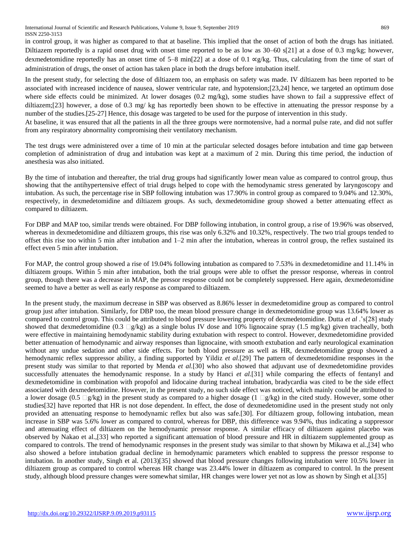International Journal of Scientific and Research Publications, Volume 9, Issue 9, September 2019 869 ISSN 2250-3153

in control group, it was higher as compared to that at baseline. This implied that the onset of action of both the drugs has initiated. Diltiazem reportedly is a rapid onset drug with onset time reported to be as low as  $30-60$  s[21] at a dose of 0.3 mg/kg; however, dexmedetomidine reportedly has an onset time of 5–8 min[22] at a dose of 0.1 ∝g/kg. Thus, calculating from the time of start of administration of drugs, the onset of action has taken place in both the drugs before intubation itself.

In the present study, for selecting the dose of diltiazem too, an emphasis on safety was made. IV diltiazem has been reported to be associated with increased incidence of nausea, slower ventricular rate, and hypotension;[23,24] hence, we targeted an optimum dose where side effects could be minimized. At lower dosages (0.2 mg/kg), some studies have shown to fail a suppressive effect of diltiazem;[23] however, a dose of 0.3 mg/ kg has reportedly been shown to be effective in attenuating the pressor response by a number of the studies. [25-27] Hence, this dosage was targeted to be used for the purpose of intervention in this study.

At baseline, it was ensured that all the patients in all the three groups were normotensive, had a normal pulse rate, and did not suffer from any respiratory abnormality compromising their ventilatory mechanism.

The test drugs were administered over a time of 10 min at the particular selected dosages before intubation and time gap between completion of administration of drug and intubation was kept at a maximum of 2 min. During this time period, the induction of anesthesia was also initiated.

By the time of intubation and thereafter, the trial drug groups had significantly lower mean value as compared to control group, thus showing that the antihypertensive effect of trial drugs helped to cope with the hemodynamic stress generated by laryngoscopy and intubation. As such, the percentage rise in SBP following intubation was 17.90% in control group as compared to 9.04% and 12.30%, respectively, in dexmedetomidine and diltiazem groups. As such, dexmedetomidine group showed a better attenuating effect as compared to diltiazem.

For DBP and MAP too, similar trends were obtained. For DBP following intubation, in control group, a rise of 19.96% was observed, whereas in dexmedetomidine and diltiazem groups, this rise was only 6.32% and 10.32%, respectively. The two trial groups tended to offset this rise too within 5 min after intubation and 1–2 min after the intubation, whereas in control group, the reflex sustained its effect even 5 min after intubation.

For MAP, the control group showed a rise of 19.04% following intubation as compared to 7.53% in dexmedetomidine and 11.14% in diltiazem groups. Within 5 min after intubation, both the trial groups were able to offset the pressor response, whereas in control group, though there was a decrease in MAP, the pressor response could not be completely suppressed. Here again, dexmedetomidine seemed to have a better as well as early response as compared to diltiazem.

In the present study, the maximum decrease in SBP was observed as 8.86% lesser in dexmedetomidine group as compared to control group just after intubation. Similarly, for DBP too, the mean blood pressure change in dexmedetomidine group was 13.64% lower as compared to control group. This could be attributed to blood pressure lowering property of dexmedetomidine. Dutta *et al* .'s[28] study showed that dexmedetomidine (0.3  $\Box g/kg$ ) as a single bolus IV dose and 10% lignocaine spray (1.5 mg/kg) given tracheally, both were effective in maintaining hemodynamic stability during extubation with respect to control. However, dexmedetomidine provided better attenuation of hemodynamic and airway responses than lignocaine, with smooth extubation and early neurological examination without any undue sedation and other side effects. For both blood pressure as well as HR, dexmedetomidine group showed a hemodynamic reflex suppressor ability, a finding supported by Yildiz *et al.*[29] The pattern of dexmedetomidine responses in the present study was similar to that reported by Menda *et al.*[30] who also showed that adjuvant use of dexmedetomidine provides successfully attenuates the hemodynamic response. In a study by Hanci *et al.*[31] while comparing the effects of fentanyl and dexmedetomidine in combination with propofol and lidocaine during tracheal intubation, bradycardia was cited to be the side effect associated with dexmedetomidine. However, in the present study, no such side effect was noticed, which mainly could be attributed to a lower dosage (0.5  $\Box$ g/kg) in the present study as compared to a higher dosage (1  $\Box$ g/kg) in the cited study. However, some other studies[32] have reported that HR is not dose dependent. In effect, the dose of dexmedetomidine used in the present study not only provided an attenuating response to hemodynamic reflex but also was safe.[30]. For diltiazem group, following intubation, mean increase in SBP was 5.6% lower as compared to control, whereas for DBP, this difference was 9.94%, thus indicating a suppressor and attenuating effect of diltiazem on the hemodynamic pressor response. A similar efficacy of diltiazem against placebo was observed by Nakao et al.,[33] who reported a significant attenuation of blood pressure and HR in diltiazem supplemented group as compared to controls. The trend of hemodynamic responses in the present study was similar to that shown by Mikawa et al.,[34] who also showed a before intubation gradual decline in hemodynamic parameters which enabled to suppress the pressor response to intubation. In another study, Singh et al. (2013)[35] showed that blood pressure changes following intubation were 10.5% lower in diltiazem group as compared to control whereas HR change was 23.44% lower in diltiazem as compared to control. In the present study, although blood pressure changes were somewhat similar, HR changes were lower yet not as low as shown by Singh et al.[35]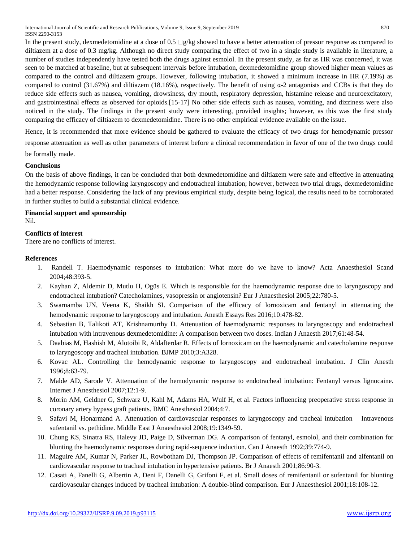In the present study, dexmedetomidine at a dose of 0.5  $\Box g/kg$  showed to have a better attenuation of pressor response as compared to diltiazem at a dose of 0.3 mg/kg. Although no direct study comparing the effect of two in a single study is available in literature, a number of studies independently have tested both the drugs against esmolol. In the present study, as far as HR was concerned, it was seen to be matched at baseline, but at subsequent intervals before intubation, dexmedetomidine group showed higher mean values as compared to the control and diltiazem groups. However, following intubation, it showed a minimum increase in HR (7.19%) as compared to control (31.67%) and diltiazem (18.16%), respectively. The benefit of using  $\alpha$ -2 antagonists and CCBs is that they do reduce side effects such as nausea, vomiting, drowsiness, dry mouth, respiratory depression, histamine release and neuroexcitatory, and gastrointestinal effects as observed for opioids.[15‑17] No other side effects such as nausea, vomiting, and dizziness were also noticed in the study. The findings in the present study were interesting, provided insights; however, as this was the first study comparing the efficacy of diltiazem to dexmedetomidine. There is no other empirical evidence available on the issue.

Hence, it is recommended that more evidence should be gathered to evaluate the efficacy of two drugs for hemodynamic pressor response attenuation as well as other parameters of interest before a clinical recommendation in favor of one of the two drugs could be formally made.

## **Conclusions**

On the basis of above findings, it can be concluded that both dexmedetomidine and diltiazem were safe and effective in attenuating the hemodynamic response following laryngoscopy and endotracheal intubation; however, between two trial drugs, dexmedetomidine had a better response. Considering the lack of any previous empirical study, despite being logical, the results need to be corroborated in further studies to build a substantial clinical evidence.

## **Financial support and sponsorship**

Nil.

## **Conflicts of interest**

There are no conflicts of interest.

## **References**

- 1. Randell T. Haemodynamic responses to intubation: What more do we have to know? Acta Anaesthesiol Scand 2004;48:393‑5.
- 2. Kayhan Z, Aldemir D, Mutlu H, Ogüs E. Which is responsible for the haemodynamic response due to laryngoscopy and endotracheal intubation? Catecholamines, vasopressin or angiotensin? Eur J Anaesthesiol 2005;22:780-5.
- 3. Swarnamba UN, Veena K, Shaikh SI. Comparison of the efficacy of lornoxicam and fentanyl in attenuating the hemodynamic response to laryngoscopy and intubation. Anesth Essays Res 2016;10:478-82.
- 4. Sebastian B, Talikoti AT, Krishnamurthy D. Attenuation of haemodynamic responses to laryngoscopy and endotracheal intubation with intravenous dexmedetomidine: A comparison between two doses. Indian J Anaesth 2017;61:48‑54.
- 5. Daabias M, Hashish M, Alotoibi R, Aldafterdar R. Effects of lornoxicam on the haemodynamic and catecholamine response to laryngoscopy and tracheal intubation. BJMP 2010;3:A328.
- 6. Kovac AL. Controlling the hemodynamic response to laryngoscopy and endotracheal intubation. J Clin Anesth 1996;8:63‑79.
- 7. Malde AD, Sarode V. Attenuation of the hemodynamic response to endotracheal intubation: Fentanyl versus lignocaine. Internet J Anesthesiol 2007;12:1-9.
- 8. Morin AM, Geldner G, Schwarz U, Kahl M, Adams HA, Wulf H, et al. Factors influencing preoperative stress response in coronary artery bypass graft patients. BMC Anesthesiol 2004;4:7.
- 9. Safavi M, Honarmand A. Attenuation of cardiovascular responses to laryngoscopy and tracheal intubation Intravenous sufentanil vs. pethidine. Middle East J Anaesthesiol 2008;19:1349‑59.
- 10. Chung KS, Sinatra RS, Halevy JD, Paige D, Silverman DG. A comparison of fentanyl, esmolol, and their combination for blunting the haemodynamic responses during rapid‑sequence induction. Can J Anaesth 1992;39:774‑9.
- 11. Maguire AM, Kumar N, Parker JL, Rowbotham DJ, Thompson JP. Comparison of effects of remifentanil and alfentanil on cardiovascular response to tracheal intubation in hypertensive patients. Br J Anaesth 2001;86:90-3.
- 12. Casati A, Fanelli G, Albertin A, Deni F, Danelli G, Grifoni F, et al. Small doses of remifentanil or sufentanil for blunting cardiovascular changes induced by tracheal intubation: A double-blind comparison. Eur J Anaesthesiol 2001;18:108-12.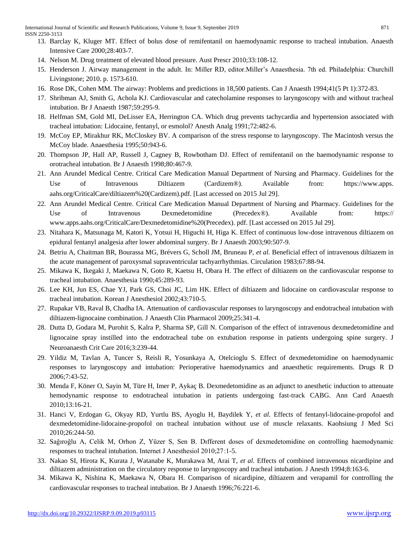International Journal of Scientific and Research Publications, Volume 9, Issue 9, September 2019 871 ISSN 2250-3153

- 13. Barclay K, Kluger MT. Effect of bolus dose of remifentanil on haemodynamic response to tracheal intubation. Anaesth Intensive Care 2000;28:403‑7.
- 14. Nelson M. Drug treatment of elevated blood pressure. Aust Prescr 2010;33:108‑12.
- 15. Henderson J. Airway management in the adult. In: Miller RD, editor.Miller's Anaesthesia. 7th ed. Philadelphia: Churchill Livingstone; 2010. p. 1573‑610.
- 16. Rose DK, Cohen MM. The airway: Problems and predictions in 18,500 patients. Can J Anaesth 1994;41(5 Pt 1):372‑83.
- 17. Shribman AJ, Smith G, Achola KJ. Cardiovascular and catecholamine responses to laryngoscopy with and without tracheal intubation. Br J Anaesth 1987;59:295‑9.
- 18. Helfman SM, Gold MI, DeLisser EA, Herrington CA. Which drug prevents tachycardia and hypertension associated with tracheal intubation: Lidocaine, fentanyl, or esmolol? Anesth Analg 1991;72:482‑6.
- 19. McCoy EP, Mirakhur RK, McCloskey BV. A comparison of the stress response to laryngoscopy. The Macintosh versus the McCoy blade. Anaesthesia 1995;50:943‑6.
- 20. Thompson JP, Hall AP, Russell J, Cagney B, Rowbotham DJ. Effect of remifentanil on the haemodynamic response to orotracheal intubation. Br J Anaesth 1998;80:467‑9.
- 21. Ann Arundel Medical Centre. Critical Care Medication Manual Department of Nursing and Pharmacy. Guidelines for the Use of Intravenous Diltiazem (Cardizem®). Available from: https://www.apps. aahs.org/CriticalCare/diltiazem%20(Cardizem).pdf. [Last accessed on 2015 Jul 29].
- 22. Ann Arundel Medical Centre. Critical Care Medication Manual Department of Nursing and Pharmacy. Guidelines for the Use of Intravenous Dexmedetomidine (Precedex®). Available from: https:// www.apps.aahs.org/CriticalCare/Dexmedetomidine%20(Precedex). pdf. [Last accessed on 2015 Jul 29].
- 23. Nitahara K, Matsunaga M, Katori K, Yotsui H, Higuchi H, Higa K. Effect of continuous low‑dose intravenous diltiazem on epidural fentanyl analgesia after lower abdominal surgery. Br J Anaesth 2003;90:507‑9.
- 24. Betriu A, Chaitman BR, Bourassa MG, Brévers G, Scholl JM, Bruneau P, *et al.* Beneficial effect of intravenous diltiazem in the acute management of paroxysmal supraventricular tachyarrhythmias. Circulation 1983;67:88‑94.
- 25. Mikawa K, Ikegaki J, Maekawa N, Goto R, Kaetsu H, Obara H. The effect of diltiazem on the cardiovascular response to tracheal intubation. Anaesthesia 1990;45:289‑93.
- 26. Lee KH, Jun ES, Chae YJ, Park GS, Choi JC, Lim HK. Effect of diltiazem and lidocaine on cardiovascular response to tracheal intubation. Korean J Anesthesiol 2002;43:710‑5.
- 27. Rupakar VB, Raval B, Chadha IA. Attenuation of cardiovascular responses to laryngoscopy and endotracheal intubation with diltiazem‑lignocaine combination. J Anaesth Clin Pharmacol 2009;25:341‑4.
- 28. Dutta D, Godara M, Purohit S, Kalra P, Sharma SP, Gill N. Comparison of the effect of intravenous dexmedetomidine and lignocaine spray instilled into the endotracheal tube on extubation response in patients undergoing spine surgery. J Neuroanaesth Crit Care 2016;3:239‑44.
- 29. Yildiz M, Tavlan A, Tuncer S, Reisli R, Yosunkaya A, Otelcioglu S. Effect of dexmedetomidine on haemodynamic responses to laryngoscopy and intubation: Perioperative haemodynamics and anaesthetic requirements. Drugs R D 2006;7:43‑52.
- 30. Menda F, Köner O, Sayin M, Türe H, Imer P, Aykaç B. Dexmedetomidine as an adjunct to anesthetic induction to attenuate hemodynamic response to endotracheal intubation in patients undergoing fast-track CABG. Ann Card Anaesth 2010;13:16‑21.
- 31. Hanci V, Erdogan G, Okyay RD, Yurtlu BS, Ayoglu H, Baydilek Y, *et al.* Effects of fentanyl‑lidocaine‑propofol and dexmedetomidine‑lidocaine‑propofol on tracheal intubation without use of muscle relaxants. Kaohsiung J Med Sci 2010;26:244‑50.
- 32. Sağıroğlu A, Celik M, Orhon Z, Yüzer S, Sen B. Dıfferent doses of dexmedetomidine on controlling haemodynamic responses to tracheal intubation. Internet J Anesthesiol 2010;27 :1-5.
- 33. Nakao SI, Hirota K, Kurata J, Watanabe K, Murakawa M, Arai T, *et al*. Effects of combined intravenous nicardipine and diltiazem administration on the circulatory response to laryngoscopy and tracheal intubation. J Anesth 1994;8:163-6.
- 34. Mikawa K, Nishina K, Maekawa N, Obara H. Comparison of nicardipine, diltiazem and verapamil for controlling the cardiovascular responses to tracheal intubation. Br J Anaesth 1996;76:221‑6.